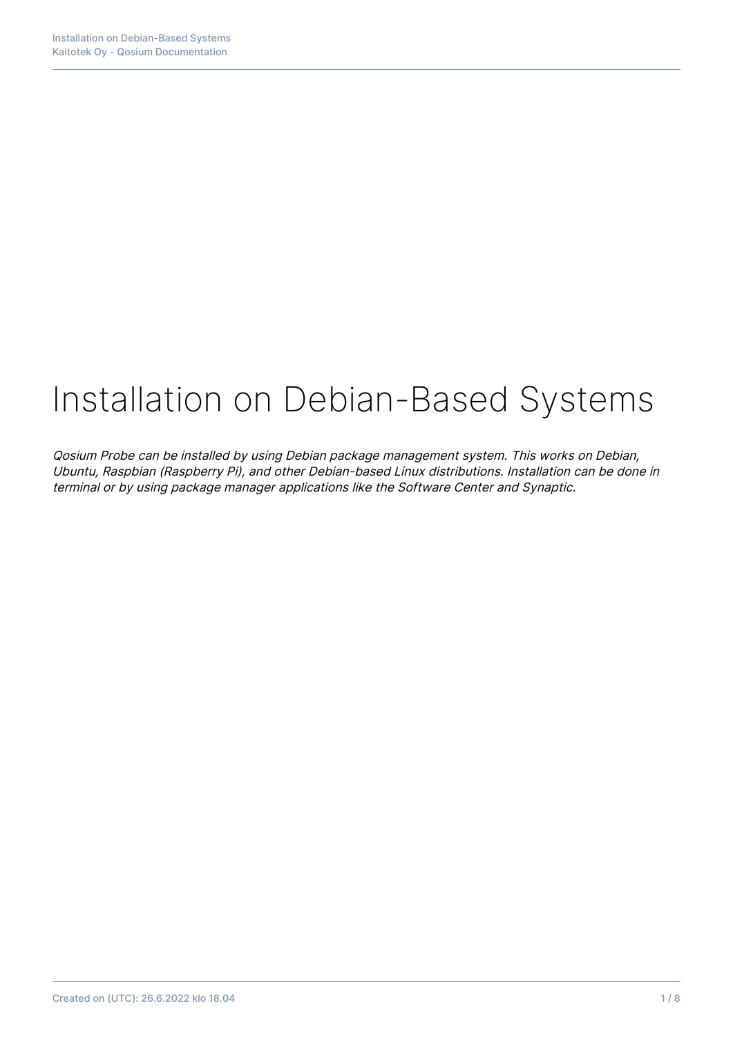# Installation on Debian-Based Systems

Qosium Probe can be installed by using Debian package management system. This works on Debian, Ubuntu, Raspbian (Raspberry Pi), and other Debian-based Linux distributions. Installation can be done in terminal or by using package manager applications like the Software Center and Synaptic.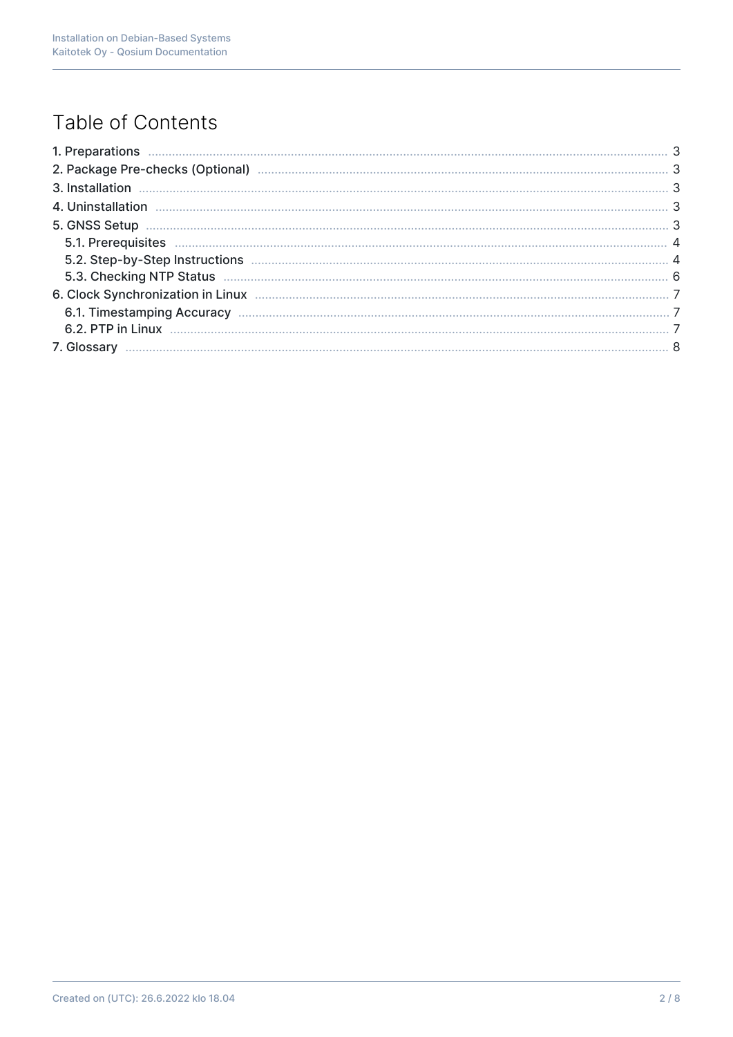# Table of Contents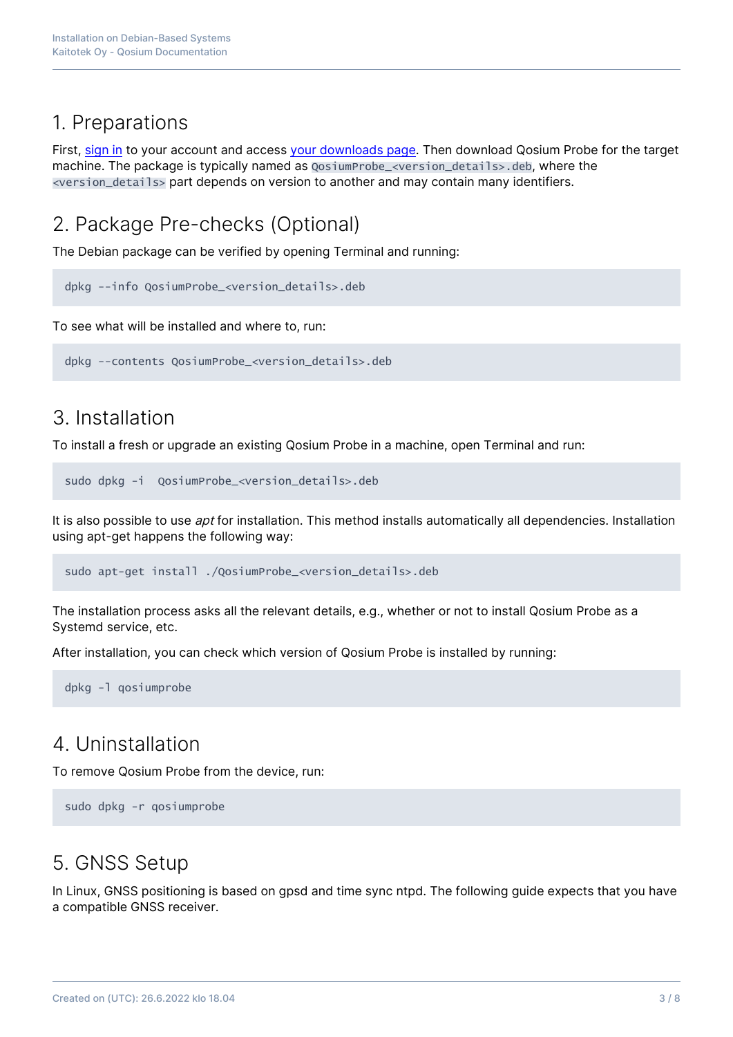## 1. Preparations

First, [sign in](https://www.kaitotek.com/fi/account/sign-in) to your account and access [your downloads page.](https://www.kaitotek.com/fi/account/downloads) Then download Qosium Probe for the target machine. The package is typically named as  $QosiumProblem <sub>1</sub> = *2* = *2* = *2* = *2* = *2* = *2* = *2* = *2* = *2* = *2* = *2* = *2* = *2* = *2* = *2* = *2* = *2* = *2* = *2* = *2* = *2*$ <version\_details> part depends on version to another and may contain many identifiers.

# 2. Package Pre-checks (Optional)

The Debian package can be verified by opening Terminal and running:

dpkg --info QosiumProbe\_<version\_details>.deb

To see what will be installed and where to, run:

```
dpkg --contents QosiumProbe_<version_details>.deb
```
## 3. Installation

To install a fresh or upgrade an existing Qosium Probe in a machine, open Terminal and run:

```
sudo dpkg -i QosiumProbe_<version_details>.deb
```
It is also possible to use *apt* for installation. This method installs automatically all dependencies. Installation using apt-get happens the following way:

sudo apt-get install ./QosiumProbe\_<version\_details>.deb

The installation process asks all the relevant details, e.g., whether or not to install Qosium Probe as a Systemd service, etc.

After installation, you can check which version of Qosium Probe is installed by running:

dpkg -l qosiumprobe

## 4. Uninstallation

To remove Qosium Probe from the device, run:

```
sudo dpkg -r qosiumprobe
```
## 5. GNSS Setup

In Linux, GNSS positioning is based on gpsd and time sync ntpd. The following guide expects that you have a compatible GNSS receiver.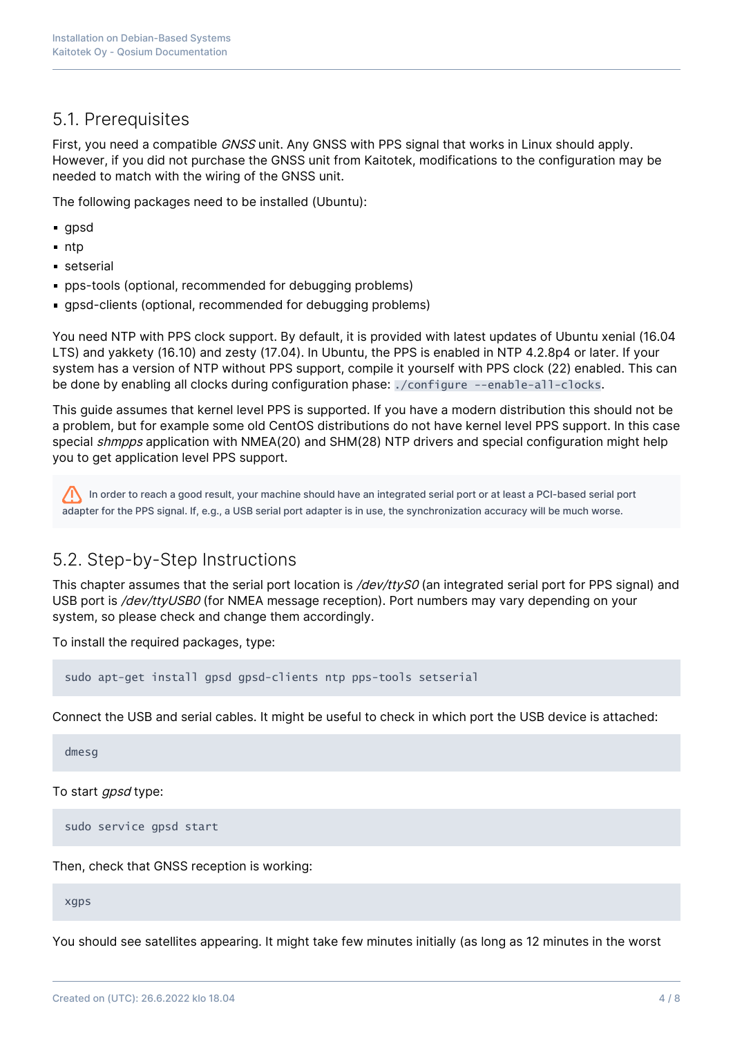## 5.1. Prerequisites

First, you need a compatible GNSS unit. Any GNSS with PPS signal that works in Linux should apply. However, if you did not purchase the GNSS unit from Kaitotek, modifications to the configuration may be needed to match with the wiring of the GNSS unit.

The following packages need to be installed (Ubuntu):

- **gpsd**
- $n$ ntp
- setserial
- pps-tools (optional, recommended for debugging problems)
- gpsd-clients (optional, recommended for debugging problems)

You need NTP with PPS clock support. By default, it is provided with latest updates of Ubuntu xenial (16.04 LTS) and yakkety (16.10) and zesty (17.04). In Ubuntu, the PPS is enabled in NTP 4.2.8p4 or later. If your system has a version of NTP without PPS support, compile it yourself with PPS clock (22) enabled. This can be done by enabling all clocks during configuration phase: ./configure --enable-all-clocks.

This guide assumes that kernel level PPS is supported. If you have a modern distribution this should not be a problem, but for example some old CentOS distributions do not have kernel level PPS support. In this case special *shmpps* application with NMEA(20) and SHM(28) NTP drivers and special configuration might help you to get application level PPS support.

In order to reach a good result, your machine should have an integrated serial port or at least a PCI-based serial port adapter for the PPS signal. If, e.g., a USB serial port adapter is in use, the synchronization accuracy will be much worse.

## 5.2. Step-by-Step Instructions

This chapter assumes that the serial port location is /dev/ttyS0 (an integrated serial port for PPS signal) and USB port is /dev/ttyUSB0 (for NMEA message reception). Port numbers may vary depending on your system, so please check and change them accordingly.

To install the required packages, type:

sudo apt-get install gpsd gpsd-clients ntp pps-tools setserial

Connect the USB and serial cables. It might be useful to check in which port the USB device is attached:

dmesg

To start *gpsd* type:

sudo service gpsd start

Then, check that GNSS reception is working:

xgps

You should see satellites appearing. It might take few minutes initially (as long as 12 minutes in the worst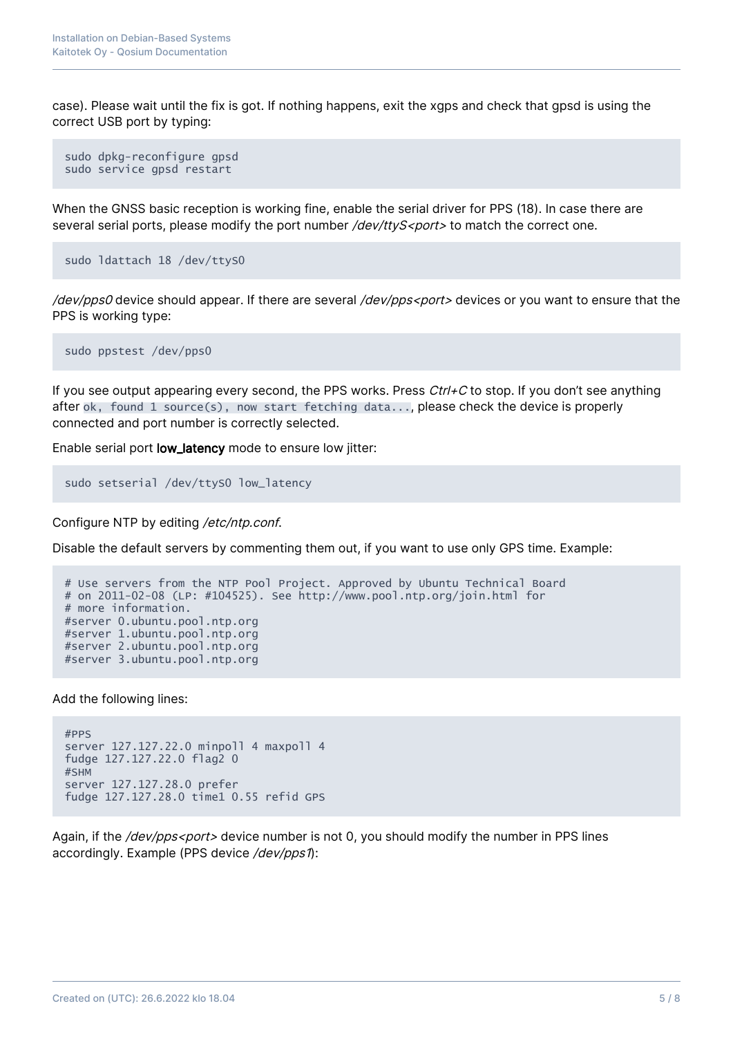case). Please wait until the fix is got. If nothing happens, exit the xgps and check that gpsd is using the correct USB port by typing:

```
sudo dpkg-reconfigure gpsd
sudo service gpsd restart
```
When the GNSS basic reception is working fine, enable the serial driver for PPS (18). In case there are several serial ports, please modify the port number  $\frac{1}{\text{dev}}$  /ttyS<port> to match the correct one.

sudo ldattach 18 /dev/ttyS0

/dev/pps0 device should appear. If there are several /dev/pps<port> devices or you want to ensure that the PPS is working type:

sudo ppstest /dev/pps0

If you see output appearing every second, the PPS works. Press  $Ctrl + C$  to stop. If you don't see anything after  $ok$ , found 1 source(s), now start fetching data..., please check the device is properly connected and port number is correctly selected.

Enable serial port low\_latency mode to ensure low jitter:

```
sudo setserial /dev/ttyS0 low_latency
```
Configure NTP by editing /etc/ntp.conf.

Disable the default servers by commenting them out, if you want to use only GPS time. Example:

```
# Use servers from the NTP Pool Project. Approved by Ubuntu Technical Board
# on 2011-02-08 (LP: #104525). See http://www.pool.ntp.org/join.html for
# more information.
#server 0.ubuntu.pool.ntp.org
#server 1.ubuntu.pool.ntp.org
#server 2.ubuntu.pool.ntp.org
#server 3.ubuntu.pool.ntp.org
```
Add the following lines:

```
#PPS
server 127.127.22.0 minpoll 4 maxpoll 4
fudge 127.127.22.0 flag2 0
#SHM
server 127.127.28.0 prefer
fudge 127.127.28.0 time1 0.55 refid GPS
```
Again, if the /dev/pps<port> device number is not 0, you should modify the number in PPS lines accordingly. Example (PPS device /dev/pps1):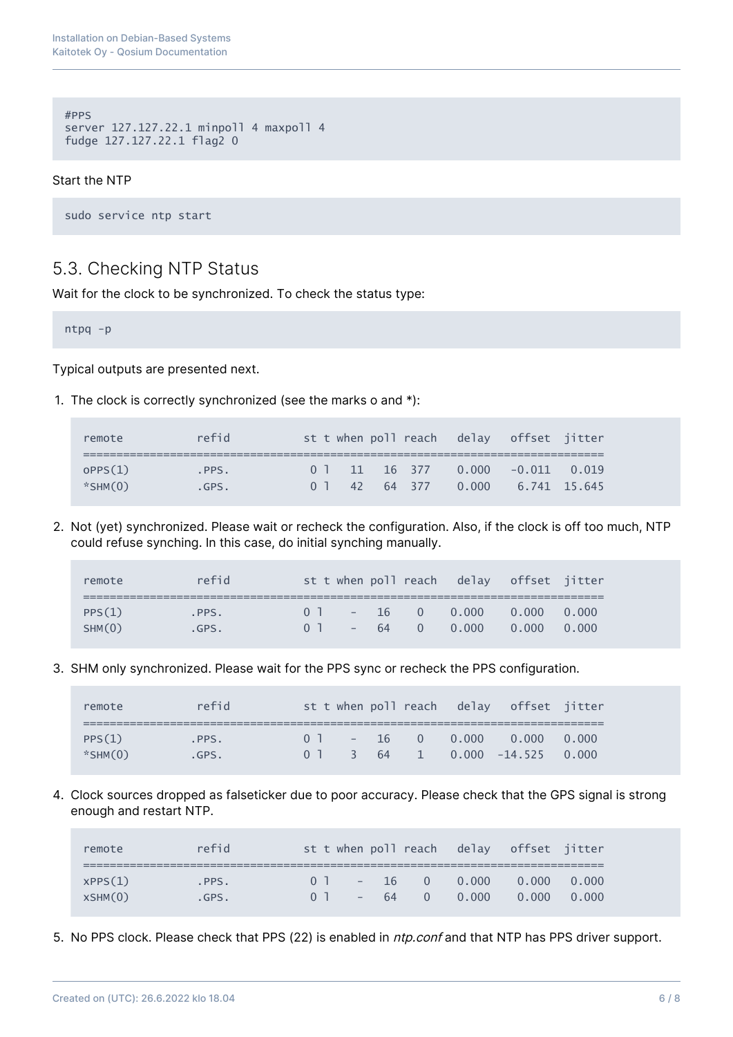```
#PPS
server 127.127.22.1 minpoll 4 maxpoll 4
fudge 127.127.22.1 flag2 0
```
#### Start the NTP

sudo service ntp start

## 5.3. Checking NTP Status

Wait for the clock to be synchronized. To check the status type:

ntpq -p

Typical outputs are presented next.

1. The clock is correctly synchronized (see the marks o and \*):

| remote                   | refid        |  |  | st t when poll reach delay offset jitter                               |  |
|--------------------------|--------------|--|--|------------------------------------------------------------------------|--|
| OPPS(1)<br>$*$ SHM $(0)$ | PPS.<br>GPS. |  |  | $0.1$ 11 16 377 0.000 -0.011 0.019<br>0 1 42 64 377 0.000 6.741 15.645 |  |

2. Not (yet) synchronized. Please wait or recheck the configuration. Also, if the clock is off too much, NTP could refuse synching. In this case, do initial synching manually.

| remote | refid |                |  | st t when poll reach delay offset jitter |       |
|--------|-------|----------------|--|------------------------------------------|-------|
|        |       |                |  |                                          |       |
| PPS(1) | PPS.  | 0 <sup>1</sup> |  | $-16$ 0 0.000 0.000 0.000                |       |
| SHM(0) | .GPS. | 0 <sup>1</sup> |  | $-64$ 0 0.000 0.000                      | 0.000 |

3. SHM only synchronized. Please wait for the PPS sync or recheck the PPS configuration.

| remote        | refid |                |  |  | st t when poll reach delay offset jitter |  |
|---------------|-------|----------------|--|--|------------------------------------------|--|
|               |       |                |  |  |                                          |  |
| PPS(1)        | .PPS. | 0 <sup>1</sup> |  |  | $-16$ 0 0.000 0.000 0.000                |  |
| $*$ SHM $(0)$ | .GPS. |                |  |  | $0$ 1 3 64 1 0.000 -14.525 0.000         |  |

4. Clock sources dropped as falseticker due to poor accuracy. Please check that the GPS signal is strong enough and restart NTP.

| remote             | refid         |                                  |  |                                | st t when poll reach delay offset jitter |  |
|--------------------|---------------|----------------------------------|--|--------------------------------|------------------------------------------|--|
| XPPS(1)<br>XSHM(0) | PPS.<br>.GPS. | 0 <sup>1</sup><br>0 <sup>1</sup> |  | $-16$ 0 0.000<br>$-64$ 0 0.000 | $0.000 \t 0.000$<br>$0.000 \qquad 0.000$ |  |

5. No PPS clock. Please check that PPS (22) is enabled in ntp.conf and that NTP has PPS driver support.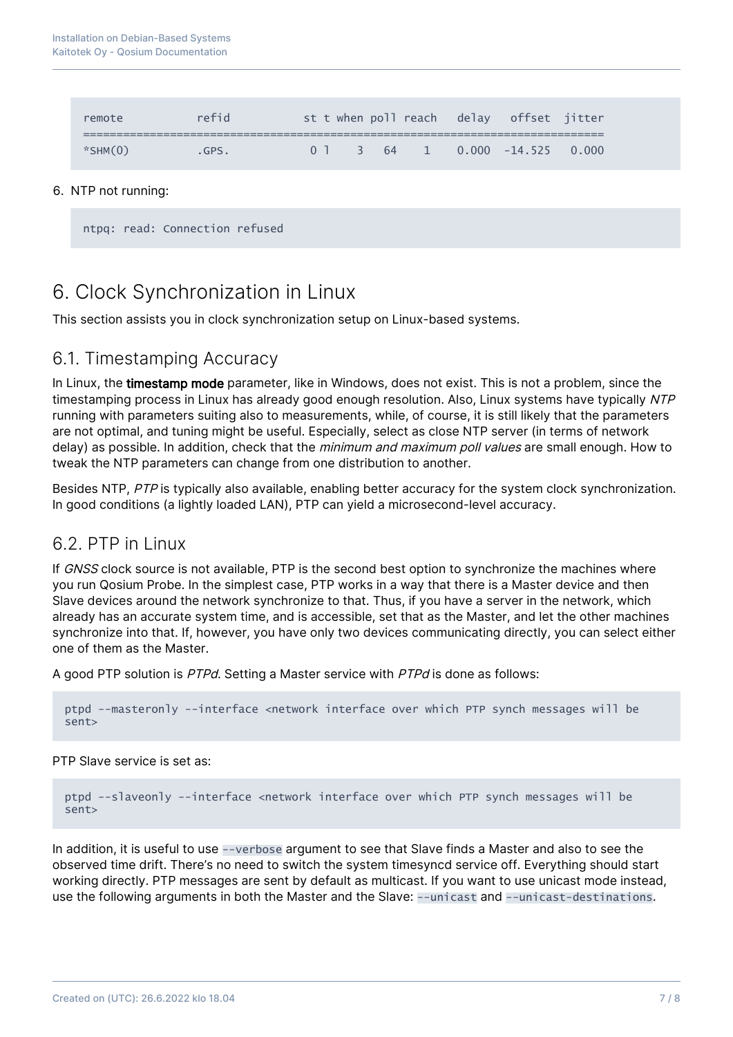| remote        | refid |  |  |  | st t when poll reach delay offset jitter |  |
|---------------|-------|--|--|--|------------------------------------------|--|
| $*$ SHM $(0)$ | .GPS. |  |  |  | $0$ 1 3 64 1 0.000 -14.525 0.000         |  |

#### 6. NTP not running:

```
ntpq: read: Connection refused
```
# 6. Clock Synchronization in Linux

This section assists you in clock synchronization setup on Linux-based systems.

## 6.1. Timestamping Accuracy

In Linux, the timestamp mode parameter, like in Windows, does not exist. This is not a problem, since the timestamping process in Linux has already good enough resolution. Also, Linux systems have typically NTP running with parameters suiting also to measurements, while, of course, it is still likely that the parameters are not optimal, and tuning might be useful. Especially, select as close NTP server (in terms of network delay) as possible. In addition, check that the minimum and maximum poll values are small enough. How to tweak the NTP parameters can change from one distribution to another.

Besides NTP, PTP is typically also available, enabling better accuracy for the system clock synchronization. In good conditions (a lightly loaded LAN), PTP can yield a microsecond-level accuracy.

### 6.2. PTP in Linux

If GNSS clock source is not available, PTP is the second best option to synchronize the machines where you run Qosium Probe. In the simplest case, PTP works in a way that there is a Master device and then Slave devices around the network synchronize to that. Thus, if you have a server in the network, which already has an accurate system time, and is accessible, set that as the Master, and let the other machines synchronize into that. If, however, you have only two devices communicating directly, you can select either one of them as the Master.

A good PTP solution is PTPd. Setting a Master service with PTPd is done as follows:

```
ptpd --masteronly --interface <network interface over which PTP synch messages will be
sent>
```
PTP Slave service is set as:

```
ptpd --slaveonly --interface <network interface over which PTP synch messages will be
sent>
```
In addition, it is useful to use --verbose argument to see that Slave finds a Master and also to see the observed time drift. There's no need to switch the system timesyncd service off. Everything should start working directly. PTP messages are sent by default as multicast. If you want to use unicast mode instead, use the following arguments in both the Master and the Slave: --unicast and --unicast-destinations.